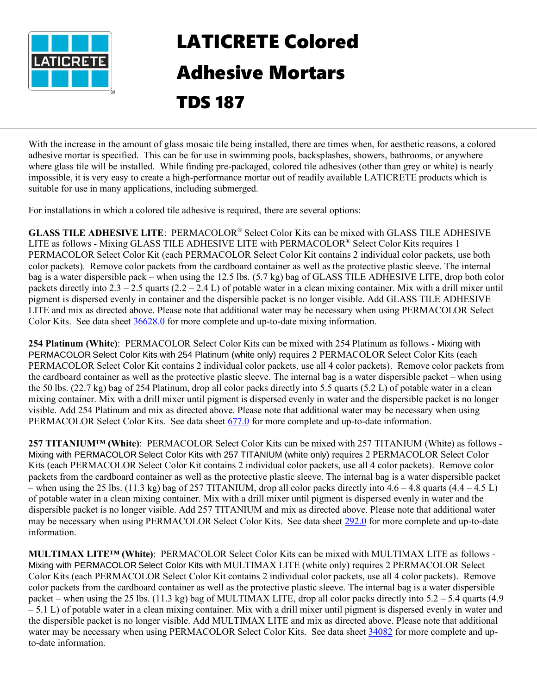

## LATICRETE Colored Adhesive Mortars TDS 187

With the increase in the amount of glass mosaic tile being installed, there are times when, for aesthetic reasons, a colored adhesive mortar is specified. This can be for use in swimming pools, backsplashes, showers, bathrooms, or anywhere where glass tile will be installed. While finding pre-packaged, colored tile adhesives (other than grey or white) is nearly impossible, it is very easy to create a high-performance mortar out of readily available LATICRETE products which is suitable for use in many applications, including submerged.

For installations in which a colored tile adhesive is required, there are several options:

**GLASS TILE ADHESIVE LITE**: PERMACOLOR® Select Color Kits can be mixed with GLASS TILE ADHESIVE LITE as follows - Mixing GLASS TILE ADHESIVE LITE with PERMACOLOR® Select Color Kits requires 1 PERMACOLOR Select Color Kit (each PERMACOLOR Select Color Kit contains 2 individual color packets, use both color packets). Remove color packets from the cardboard container as well as the protective plastic sleeve. The internal bag is a water dispersible pack – when using the 12.5 lbs. (5.7 kg) bag of GLASS TILE ADHESIVE LITE, drop both color packets directly into  $2.3 - 2.5$  quarts  $(2.2 - 2.4 L)$  of potable water in a clean mixing container. Mix with a drill mixer until pigment is dispersed evenly in container and the dispersible packet is no longer visible. Add GLASS TILE ADHESIVE LITE and mix as directed above. Please note that additional water may be necessary when using PERMACOLOR Select Color Kits. See data sheet [36628.0](https://cdn.laticrete.com/~/media/product-documents/product-data-sheets/ds-36628.ashx?sc_lang=en&vs=1&d=20210208T150840Z) for more complete and up-to-date mixing information.

**254 Platinum (White)**: PERMACOLOR Select Color Kits can be mixed with 254 Platinum as follows - Mixing with PERMACOLOR Select Color Kits with 254 Platinum (white only) requires 2 PERMACOLOR Select Color Kits (each PERMACOLOR Select Color Kit contains 2 individual color packets, use all 4 color packets). Remove color packets from the cardboard container as well as the protective plastic sleeve. The internal bag is a water dispersible packet – when using the 50 lbs. (22.7 kg) bag of 254 Platinum, drop all color packs directly into 5.5 quarts (5.2 L) of potable water in a clean mixing container. Mix with a drill mixer until pigment is dispersed evenly in water and the dispersible packet is no longer visible. Add 254 Platinum and mix as directed above. Please note that additional water may be necessary when using PERMACOLOR Select Color Kits. See data sheet [677.0](https://cdn.laticrete.com/~/media/product-documents/product-data-sheets/ds-677.ashx) for more complete and up-to-date information.

**257 TITANIUM™ (White)**: PERMACOLOR Select Color Kits can be mixed with 257 TITANIUM (White) as follows - Mixing with PERMACOLOR Select Color Kits with 257 TITANIUM (white only) requires 2 PERMACOLOR Select Color Kits (each PERMACOLOR Select Color Kit contains 2 individual color packets, use all 4 color packets). Remove color packets from the cardboard container as well as the protective plastic sleeve. The internal bag is a water dispersible packet – when using the 25 lbs. (11.3 kg) bag of 257 TITANIUM, drop all color packs directly into  $4.6 - 4.8$  quarts  $(4.4 - 4.5 \text{ L})$ of potable water in a clean mixing container. Mix with a drill mixer until pigment is dispersed evenly in water and the dispersible packet is no longer visible. Add 257 TITANIUM and mix as directed above. Please note that additional water may be necessary when using PERMACOLOR Select Color Kits. See data sheet [292.0](https://cdn.laticrete.com/~/media/product-documents/product-data-sheets/lds2920_257-titanium.ashx) for more complete and up-to-date information.

**MULTIMAX LITE™ (White)**: PERMACOLOR Select Color Kits can be mixed with MULTIMAX LITE as follows - Mixing with PERMACOLOR Select Color Kits with MULTIMAX LITE (white only) requires 2 PERMACOLOR Select Color Kits (each PERMACOLOR Select Color Kit contains 2 individual color packets, use all 4 color packets). Remove color packets from the cardboard container as well as the protective plastic sleeve. The internal bag is a water dispersible packet – when using the 25 lbs. (11.3 kg) bag of MULTIMAX LITE, drop all color packs directly into  $5.2 - 5.4$  quarts (4.9) – 5.1 L) of potable water in a clean mixing container. Mix with a drill mixer until pigment is dispersed evenly in water and the dispersible packet is no longer visible. Add MULTIMAX LITE and mix as directed above. Please note that additional water may be necessary when using PERMACOLOR Select Color Kits. See data sheet [34082](https://cdn.laticrete.com/~/media/product-documents/product-data-sheets/ds-34082.ashx?sc_lang=en&vs=1&d=20201210T193332Z) for more complete and upto-date information.